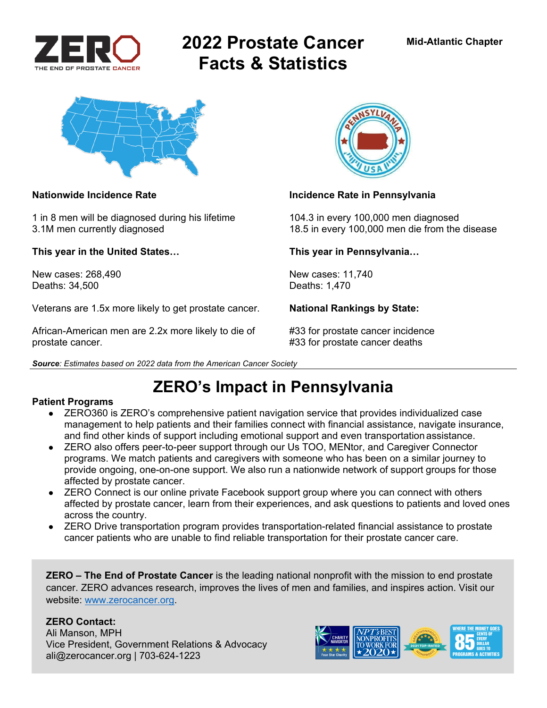

# **2022 Prostate Cancer Facts & Statistics**



1 in 8 men will be diagnosed during his lifetime 104.3 in every 100,000 men diagnosed

**This year in the United States… This year in Pennsylvania…** 

New cases: 268,490 **New cases: 11,740** New cases: 11,740 Deaths: 34,500 Deaths: 1,470

Veterans are 1.5x more likely to get prostate cancer. **National Rankings by State:** 

African-American men are 2.2x more likely to die of #33 for prostate cancer incidence prostate cancer. **All any struck is a set of the set of the set of the set of the set of the set of the set of the set of the set of the set of the set of the set of the set of the set of the set of the set of the set of t** 





### **Nationwide Incidence Rate Incidence Rate in Pennsylvania**

3.1M men currently diagnosed 18.5 in every 100,000 men die from the disease

*Source: Estimates based on 2022 data from the American Cancer Society* 

# **ZERO's Impact in Pennsylvania**

### **Patient Programs**

- ZERO360 is ZERO's comprehensive patient navigation service that provides individualized case management to help patients and their families connect with financial assistance, navigate insurance, and find other kinds of support including emotional support and even transportation assistance.
- ZERO also offers peer-to-peer support through our Us TOO, MENtor, and Caregiver Connector programs. We match patients and caregivers with someone who has been on a similar journey to provide ongoing, one-on-one support. We also run a nationwide network of support groups for those affected by prostate cancer.
- ZERO Connect is our online private Facebook support group where you can connect with others affected by prostate cancer, learn from their experiences, and ask questions to patients and loved ones across the country.
- ZERO Drive transportation program provides transportation-related financial assistance to prostate cancer patients who are unable to find reliable transportation for their prostate cancer care.

**ZERO – The End of Prostate Cancer** is the leading national nonprofit with the mission to end prostate cancer. ZERO advances research, improves the lives of men and families, and inspires action. Visit our website: www.zerocancer.org.

### **ZERO Contact:**

Ali Manson, MPH Vice President, Government Relations & Advocacy ali@zerocancer.org | 703-624-1223